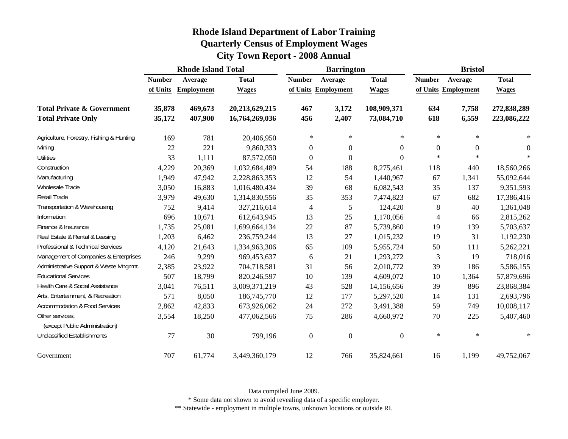| <b>Rhode Island Department of Labor Training</b> |
|--------------------------------------------------|
| <b>Quarterly Census of Employment Wages</b>      |
| <b>City Town Report - 2008 Annual</b>            |

|                                                   | <b>Rhode Island Total</b> |                   |                |                          | <b>Barrington</b>   |              | <b>Bristol</b> |                     |              |  |
|---------------------------------------------------|---------------------------|-------------------|----------------|--------------------------|---------------------|--------------|----------------|---------------------|--------------|--|
|                                                   | <b>Number</b>             | Average           | <b>Total</b>   | <b>Number</b>            | Average             | <b>Total</b> | <b>Number</b>  | Average             | <b>Total</b> |  |
|                                                   | of Units                  | <b>Employment</b> | <b>Wages</b>   |                          | of Units Employment | <b>Wages</b> |                | of Units Employment | <b>Wages</b> |  |
| <b>Total Private &amp; Government</b>             | 35,878                    | 469,673           | 20,213,629,215 | 467                      | 3,172               | 108,909,371  | 634            | 7,758               | 272,838,289  |  |
| <b>Total Private Only</b>                         | 35,172                    | 407,900           | 16,764,269,036 | 456                      | 2,407               | 73,084,710   | 618            | 6,559               | 223,086,222  |  |
| Agriculture, Forestry, Fishing & Hunting          | 169                       | 781               | 20,406,950     | $\ast$                   | $\ast$              | $\ast$       | $\ast$         | $\ast$              | ∗            |  |
| Mining                                            | 22                        | 221               | 9,860,333      | $\boldsymbol{0}$         | $\overline{0}$      | 0            | $\mathbf{0}$   | $\overline{0}$      | $\Omega$     |  |
| <b>Utilities</b>                                  | 33                        | 1,111             | 87,572,050     | $\boldsymbol{0}$         | $\overline{0}$      | 0            | $\ast$         | $\ast$              | $\ast$       |  |
| Construction                                      | 4,229                     | 20,369            | 1,032,684,489  | 54                       | 188                 | 8,275,461    | 118            | 440                 | 18,560,266   |  |
| Manufacturing                                     | 1,949                     | 47,942            | 2,228,863,353  | 12                       | 54                  | 1,440,967    | 67             | 1,341               | 55,092,644   |  |
| <b>Wholesale Trade</b>                            | 3,050                     | 16,883            | 1,016,480,434  | 39                       | 68                  | 6,082,543    | 35             | 137                 | 9,351,593    |  |
| Retail Trade                                      | 3,979                     | 49,630            | 1,314,830,556  | 35                       | 353                 | 7,474,823    | 67             | 682                 | 17,386,416   |  |
| Transportation & Warehousing                      | 752                       | 9,414             | 327,216,614    | $\overline{\mathcal{L}}$ | 5                   | 124,420      | 8              | 40                  | 1,361,048    |  |
| Information                                       | 696                       | 10,671            | 612,643,945    | 13                       | 25                  | 1,170,056    | $\overline{4}$ | 66                  | 2,815,262    |  |
| Finance & Insurance                               | 1,735                     | 25,081            | 1,699,664,134  | 22                       | 87                  | 5,739,860    | 19             | 139                 | 5,703,637    |  |
| Real Estate & Rental & Leasing                    | 1,203                     | 6,462             | 236,759,244    | 13                       | 27                  | 1,015,232    | 19             | 31                  | 1,192,230    |  |
| Professional & Technical Services                 | 4,120                     | 21,643            | 1,334,963,306  | 65                       | 109                 | 5,955,724    | 50             | 111                 | 5,262,221    |  |
| Management of Companies & Enterprises             | 246                       | 9,299             | 969,453,637    | 6                        | 21                  | 1,293,272    | 3              | 19                  | 718,016      |  |
| Administrative Support & Waste Mngmnt.            | 2,385                     | 23,922            | 704,718,581    | 31                       | 56                  | 2,010,772    | 39             | 186                 | 5,586,155    |  |
| <b>Educational Services</b>                       | 507                       | 18,799            | 820,246,597    | 10                       | 139                 | 4,609,072    | 10             | 1,364               | 57,879,696   |  |
| Health Care & Social Assistance                   | 3,041                     | 76,511            | 3,009,371,219  | 43                       | 528                 | 14,156,656   | 39             | 896                 | 23,868,384   |  |
| Arts, Entertainment, & Recreation                 | 571                       | 8,050             | 186,745,770    | 12                       | 177                 | 5,297,520    | 14             | 131                 | 2,693,796    |  |
| <b>Accommodation &amp; Food Services</b>          | 2,862                     | 42,833            | 673,926,062    | 24                       | 272                 | 3,491,388    | 59             | 749                 | 10,008,117   |  |
| Other services,<br>(except Public Administration) | 3,554                     | 18,250            | 477,062,566    | 75                       | 286                 | 4,660,972    | 70             | 225                 | 5,407,460    |  |
| <b>Unclassified Establishments</b>                | 77                        | 30                | 799,196        | $\boldsymbol{0}$         | $\boldsymbol{0}$    | $\theta$     | $\ast$         | $\ast$              | ∗            |  |
| Government                                        | 707                       | 61,774            | 3,449,360,179  | 12                       | 766                 | 35,824,661   | 16             | 1,199               | 49,752,067   |  |

\* Some data not shown to avoid revealing data of a specific employer.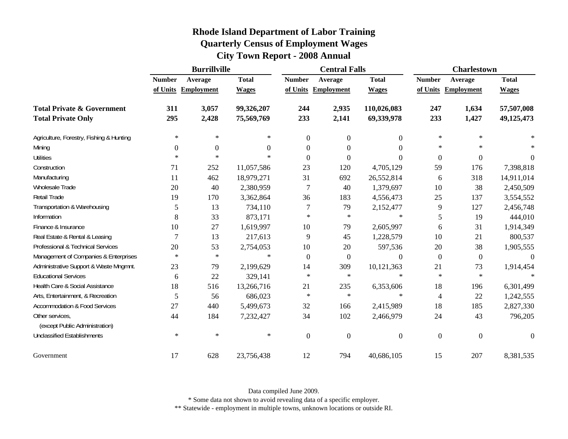| <b>Rhode Island Department of Labor Training</b> |
|--------------------------------------------------|
| <b>Quarterly Census of Employment Wages</b>      |
| <b>City Town Report - 2008 Annual</b>            |

|                                                   |               | <b>Burrillville</b> |              |                | <b>Central Falls</b> |                  |                  | <b>Charlestown</b>  |              |  |
|---------------------------------------------------|---------------|---------------------|--------------|----------------|----------------------|------------------|------------------|---------------------|--------------|--|
|                                                   | <b>Number</b> | Average             | <b>Total</b> | <b>Number</b>  | Average              | <b>Total</b>     | <b>Number</b>    | Average             | <b>Total</b> |  |
|                                                   |               | of Units Employment | <b>Wages</b> |                | of Units Employment  | <b>Wages</b>     |                  | of Units Employment | <b>Wages</b> |  |
| <b>Total Private &amp; Government</b>             | 311           | 3,057               | 99,326,207   | 244            | 2,935                | 110,026,083      | 247              | 1,634               | 57,507,008   |  |
| <b>Total Private Only</b>                         | 295           | 2,428               | 75,569,769   | 233            | 2,141                | 69,339,978       | 233              | 1,427               | 49,125,473   |  |
| Agriculture, Forestry, Fishing & Hunting          | $\ast$        | ∗                   | $\ast$       | $\mathbf{0}$   | $\mathbf{0}$         | $\boldsymbol{0}$ | $\ast$           | $\ast$              |              |  |
| Mining                                            | $\Omega$      | $\theta$            | $\Omega$     | $\Omega$       | $\Omega$             | $\theta$         | $\ast$           | $\ast$              |              |  |
| <b>Utilities</b>                                  | $\ast$        | $\ast$              | $\ast$       | $\Omega$       | $\Omega$             | $\Omega$         | $\boldsymbol{0}$ | $\boldsymbol{0}$    | $\theta$     |  |
| Construction                                      | 71            | 252                 | 11,057,586   | 23             | 120                  | 4,705,129        | 59               | 176                 | 7,398,818    |  |
| Manufacturing                                     | 11            | 462                 | 18,979,271   | 31             | 692                  | 26,552,814       | 6                | 318                 | 14,911,014   |  |
| Wholesale Trade                                   | 20            | 40                  | 2,380,959    |                | 40                   | 1,379,697        | 10               | 38                  | 2,450,509    |  |
| Retail Trade                                      | 19            | 170                 | 3,362,864    | 36             | 183                  | 4,556,473        | 25               | 137                 | 3,554,552    |  |
| Transportation & Warehousing                      | 5             | 13                  | 734,110      | 7              | 79                   | 2,152,477        | 9                | 127                 | 2,456,748    |  |
| Information                                       | 8             | 33                  | 873,171      | $\ast$         | $\ast$               | $\ast$           | 5                | 19                  | 444,010      |  |
| Finance & Insurance                               | 10            | 27                  | 1,619,997    | 10             | 79                   | 2,605,997        | 6                | 31                  | 1,914,349    |  |
| Real Estate & Rental & Leasing                    | 7             | 13                  | 217,613      | 9              | 45                   | 1,228,579        | 10               | 21                  | 800,537      |  |
| Professional & Technical Services                 | 20            | 53                  | 2,754,053    | 10             | 20                   | 597,536          | 20               | 38                  | 1,905,555    |  |
| Management of Companies & Enterprises             | $\ast$        | $\ast$              | $\ast$       | $\theta$       | $\overline{0}$       | $\Omega$         | $\overline{0}$   | $\overline{0}$      | $\theta$     |  |
| Administrative Support & Waste Mngmnt.            | 23            | 79                  | 2,199,629    | 14             | 309                  | 10,121,363       | 21               | 73                  | 1,914,454    |  |
| <b>Educational Services</b>                       | 6             | 22                  | 329,141      | $\ast$         | $\ast$               | $\ast$           | $\ast$           | $\ast$              |              |  |
| Health Care & Social Assistance                   | 18            | 516                 | 13,266,716   | 21             | 235                  | 6,353,606        | 18               | 196                 | 6,301,499    |  |
| Arts, Entertainment, & Recreation                 | 5             | 56                  | 686,023      | $\ast$         | $\ast$               | $\ast$           | 4                | 22                  | 1,242,555    |  |
| <b>Accommodation &amp; Food Services</b>          | 27            | 440                 | 5,499,673    | 32             | 166                  | 2,415,989        | 18               | 185                 | 2,827,330    |  |
| Other services,<br>(except Public Administration) | 44            | 184                 | 7,232,427    | 34             | 102                  | 2,466,979        | 24               | 43                  | 796,205      |  |
| <b>Unclassified Establishments</b>                | $\ast$        | $\ast$              | $\ast$       | $\overline{0}$ | $\overline{0}$       | $\boldsymbol{0}$ | $\mathbf{0}$     | $\boldsymbol{0}$    | $\theta$     |  |
| Government                                        | 17            | 628                 | 23,756,438   | 12             | 794                  | 40,686,105       | 15               | 207                 | 8,381,535    |  |

\* Some data not shown to avoid revealing data of a specific employer.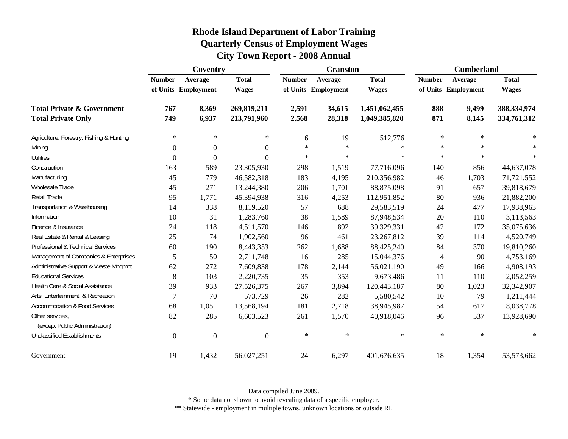| <b>Rhode Island Department of Labor Training</b> |
|--------------------------------------------------|
| <b>Quarterly Census of Employment Wages</b>      |
| <b>City Town Report - 2008 Annual</b>            |

|                                          |                  | Coventry          |                  |               | <b>Cranston</b>   |               |                | <b>Cumberland</b>   |              |
|------------------------------------------|------------------|-------------------|------------------|---------------|-------------------|---------------|----------------|---------------------|--------------|
|                                          | <b>Number</b>    | Average           | <b>Total</b>     | <b>Number</b> | Average           | <b>Total</b>  | <b>Number</b>  | Average             | <b>Total</b> |
|                                          | of Units         | <b>Employment</b> | <b>Wages</b>     | of Units      | <b>Employment</b> | <b>Wages</b>  |                | of Units Employment | <b>Wages</b> |
| <b>Total Private &amp; Government</b>    | 767              | 8,369             | 269,819,211      | 2,591         | 34,615            | 1,451,062,455 | 888            | 9,499               | 388,334,974  |
| <b>Total Private Only</b>                | 749              | 6,937             | 213,791,960      | 2,568         | 28,318            | 1,049,385,820 | 871            | 8,145               | 334,761,312  |
| Agriculture, Forestry, Fishing & Hunting | $\ast$           | $\ast$            | $\ast$           | 6             | 19                | 512,776       | $\ast$         | $\ast$              |              |
| Mining                                   | $\boldsymbol{0}$ | $\boldsymbol{0}$  | $\overline{0}$   | $\star$       | $\ast$            | $\ast$        | $\ast$         | $\star$             | $\ast$       |
| <b>Utilities</b>                         | $\overline{0}$   | $\mathbf{0}$      | $\Omega$         | $\ast$        | $\ast$            | $\ast$        | $\ast$         | $\ast$              | $\ast$       |
| Construction                             | 163              | 589               | 23,305,930       | 298           | 1,519             | 77,716,096    | 140            | 856                 | 44,637,078   |
| Manufacturing                            | 45               | 779               | 46,582,318       | 183           | 4,195             | 210,356,982   | 46             | 1,703               | 71,721,552   |
| Wholesale Trade                          | 45               | 271               | 13,244,380       | 206           | 1,701             | 88,875,098    | 91             | 657                 | 39,818,679   |
| Retail Trade                             | 95               | 1,771             | 45,394,938       | 316           | 4,253             | 112,951,852   | 80             | 936                 | 21,882,200   |
| Transportation & Warehousing             | 14               | 338               | 8,119,520        | 57            | 688               | 29,583,519    | 24             | 477                 | 17,938,963   |
| Information                              | 10               | 31                | 1,283,760        | 38            | 1,589             | 87,948,534    | 20             | 110                 | 3,113,563    |
| Finance & Insurance                      | 24               | 118               | 4,511,570        | 146           | 892               | 39,329,331    | 42             | 172                 | 35,075,636   |
| Real Estate & Rental & Leasing           | 25               | 74                | 1,902,560        | 96            | 461               | 23, 267, 812  | 39             | 114                 | 4,520,749    |
| Professional & Technical Services        | 60               | 190               | 8,443,353        | 262           | 1,688             | 88,425,240    | 84             | 370                 | 19,810,260   |
| Management of Companies & Enterprises    | 5                | 50                | 2,711,748        | 16            | 285               | 15,044,376    | $\overline{4}$ | 90                  | 4,753,169    |
| Administrative Support & Waste Mngmnt.   | 62               | 272               | 7,609,838        | 178           | 2,144             | 56,021,190    | 49             | 166                 | 4,908,193    |
| <b>Educational Services</b>              | 8                | 103               | 2,220,735        | 35            | 353               | 9,673,486     | 11             | 110                 | 2,052,259    |
| Health Care & Social Assistance          | 39               | 933               | 27,526,375       | 267           | 3,894             | 120,443,187   | 80             | 1,023               | 32,342,907   |
| Arts, Entertainment, & Recreation        | $\overline{7}$   | 70                | 573,729          | 26            | 282               | 5,580,542     | 10             | 79                  | 1,211,444    |
| Accommodation & Food Services            | 68               | 1,051             | 13,568,194       | 181           | 2,718             | 38,945,987    | 54             | 617                 | 8,038,778    |
| Other services,                          | 82               | 285               | 6,603,523        | 261           | 1,570             | 40,918,046    | 96             | 537                 | 13,928,690   |
| (except Public Administration)           |                  |                   |                  |               |                   |               |                |                     |              |
| <b>Unclassified Establishments</b>       | $\boldsymbol{0}$ | $\boldsymbol{0}$  | $\boldsymbol{0}$ | $\ast$        | $\ast$            | $\ast$        | $\ast$         | $\star$             | $\star$      |
| Government                               | 19               | 1,432             | 56,027,251       | 24            | 6,297             | 401,676,635   | 18             | 1,354               | 53,573,662   |

\* Some data not shown to avoid revealing data of a specific employer.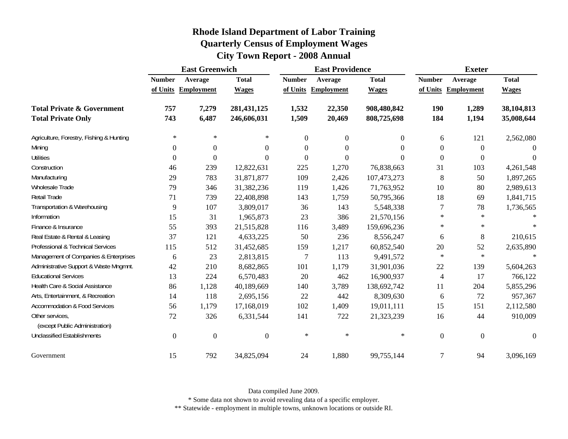|                                                   |                  | <b>East Greenwich</b> |               |                  | <b>East Providence</b> |              |                  | <b>Exeter</b>       |              |  |
|---------------------------------------------------|------------------|-----------------------|---------------|------------------|------------------------|--------------|------------------|---------------------|--------------|--|
|                                                   | <b>Number</b>    | Average               | <b>Total</b>  | <b>Number</b>    | Average                | <b>Total</b> | <b>Number</b>    | Average             | <b>Total</b> |  |
|                                                   |                  | of Units Employment   | <b>Wages</b>  |                  | of Units Employment    | <b>Wages</b> |                  | of Units Employment | <b>Wages</b> |  |
| <b>Total Private &amp; Government</b>             | 757              | 7,279                 | 281, 431, 125 | 1,532            | 22,350                 | 908,480,842  | <b>190</b>       | 1,289               | 38,104,813   |  |
| <b>Total Private Only</b>                         | 743              | 6,487                 | 246,606,031   | 1,509            | 20,469                 | 808,725,698  | 184              | 1,194               | 35,008,644   |  |
| Agriculture, Forestry, Fishing & Hunting          | $\ast$           | ∗                     | $*$           | $\boldsymbol{0}$ | $\boldsymbol{0}$       | $\mathbf{0}$ | 6                | 121                 | 2,562,080    |  |
| Mining                                            | $\boldsymbol{0}$ | $\overline{0}$        | $\Omega$      | $\Omega$         | $\Omega$               | $\Omega$     | $\theta$         | $\overline{0}$      | $\theta$     |  |
| <b>Utilities</b>                                  | $\boldsymbol{0}$ | $\boldsymbol{0}$      | $\Omega$      | $\boldsymbol{0}$ | $\Omega$               | $\Omega$     | $\boldsymbol{0}$ | $\boldsymbol{0}$    | $\theta$     |  |
| Construction                                      | 46               | 239                   | 12,822,631    | 225              | 1,270                  | 76,838,663   | 31               | 103                 | 4,261,548    |  |
| Manufacturing                                     | 29               | 783                   | 31,871,877    | 109              | 2,426                  | 107,473,273  | 8                | 50                  | 1,897,265    |  |
| Wholesale Trade                                   | 79               | 346                   | 31,382,236    | 119              | 1,426                  | 71,763,952   | 10               | 80                  | 2,989,613    |  |
| Retail Trade                                      | 71               | 739                   | 22,408,898    | 143              | 1,759                  | 50,795,366   | 18               | 69                  | 1,841,715    |  |
| Transportation & Warehousing                      | 9                | 107                   | 3,809,017     | 36               | 143                    | 5,548,338    | 7                | 78                  | 1,736,565    |  |
| Information                                       | 15               | 31                    | 1,965,873     | 23               | 386                    | 21,570,156   | $\ast$           | $\ast$              |              |  |
| Finance & Insurance                               | 55               | 393                   | 21,515,828    | 116              | 3,489                  | 159,696,236  | $\ast$           | $\ast$              | $\ast$       |  |
| Real Estate & Rental & Leasing                    | 37               | 121                   | 4,633,225     | 50               | 236                    | 8,556,247    | 6                | 8                   | 210,615      |  |
| Professional & Technical Services                 | 115              | 512                   | 31,452,685    | 159              | 1,217                  | 60,852,540   | 20               | 52                  | 2,635,890    |  |
| Management of Companies & Enterprises             | 6                | 23                    | 2,813,815     | $\overline{7}$   | 113                    | 9,491,572    | $\ast$           | $\ast$              | $\star$      |  |
| Administrative Support & Waste Mngmnt.            | 42               | 210                   | 8,682,865     | 101              | 1,179                  | 31,901,036   | 22               | 139                 | 5,604,263    |  |
| <b>Educational Services</b>                       | 13               | 224                   | 6,570,483     | 20               | 462                    | 16,900,937   | $\overline{4}$   | 17                  | 766,122      |  |
| Health Care & Social Assistance                   | 86               | 1,128                 | 40,189,669    | 140              | 3,789                  | 138,692,742  | 11               | 204                 | 5,855,296    |  |
| Arts, Entertainment, & Recreation                 | 14               | 118                   | 2,695,156     | 22               | 442                    | 8,309,630    | 6                | 72                  | 957,367      |  |
| <b>Accommodation &amp; Food Services</b>          | 56               | 1,179                 | 17,168,019    | 102              | 1,409                  | 19,011,111   | 15               | 151                 | 2,112,580    |  |
| Other services,<br>(except Public Administration) | 72               | 326                   | 6,331,544     | 141              | 722                    | 21,323,239   | 16               | 44                  | 910,009      |  |
| <b>Unclassified Establishments</b>                | $\boldsymbol{0}$ | $\overline{0}$        | $\Omega$      | $\ast$           | $\ast$                 | $\ast$       | $\boldsymbol{0}$ | $\overline{0}$      | $\theta$     |  |
| Government                                        | 15               | 792                   | 34,825,094    | 24               | 1,880                  | 99,755,144   | $\overline{7}$   | 94                  | 3,096,169    |  |

Data compiled June 2009.

\* Some data not shown to avoid revealing data of a specific employer.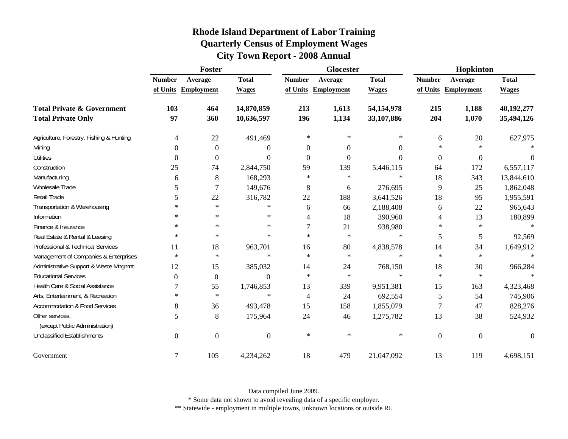| <b>Rhode Island Department of Labor Training</b> |  |
|--------------------------------------------------|--|
| <b>Quarterly Census of Employment Wages</b>      |  |
| <b>City Town Report - 2008 Annual</b>            |  |

|                                                   |                  | <b>Foster</b>       |                  |                  | <b>Glocester</b>  |              |                  | Hopkinton         |              |
|---------------------------------------------------|------------------|---------------------|------------------|------------------|-------------------|--------------|------------------|-------------------|--------------|
|                                                   | <b>Number</b>    | Average             | <b>Total</b>     | <b>Number</b>    | Average           | <b>Total</b> | <b>Number</b>    | Average           | <b>Total</b> |
|                                                   |                  | of Units Employment | <b>Wages</b>     | of Units         | <b>Employment</b> | <b>Wages</b> | of Units         | <b>Employment</b> | <b>Wages</b> |
| <b>Total Private &amp; Government</b>             | 103              | 464                 | 14,870,859       | 213              | 1,613             | 54,154,978   | 215              | 1,188             | 40,192,277   |
| <b>Total Private Only</b>                         | 97               | 360                 | 10,636,597       | 196              | 1,134             | 33,107,886   | 204              | 1,070             | 35,494,126   |
| Agriculture, Forestry, Fishing & Hunting          | $\overline{4}$   | 22                  | 491,469          | $\ast$           | $\ast$            | ∗            | 6                | 20                | 627,975      |
| Mining                                            | $\theta$         | $\boldsymbol{0}$    | 0                | $\boldsymbol{0}$ | 0                 | $\theta$     | $\ast$           | $\ast$            |              |
| <b>Utilities</b>                                  | $\boldsymbol{0}$ | $\boldsymbol{0}$    | $\overline{0}$   | $\boldsymbol{0}$ | $\boldsymbol{0}$  | $\theta$     | $\boldsymbol{0}$ | $\boldsymbol{0}$  | $\Omega$     |
| Construction                                      | 25               | 74                  | 2,844,750        | 59               | 139               | 5,446,115    | 64               | 172               | 6,557,117    |
| Manufacturing                                     | 6                | 8                   | 168,293          | $\ast$           | $\ast$            | $\ast$       | 18               | 343               | 13,844,610   |
| Wholesale Trade                                   | 5                | $\overline{7}$      | 149,676          | 8                | 6                 | 276,695      | 9                | 25                | 1,862,048    |
| Retail Trade                                      | 5                | 22                  | 316,782          | 22               | 188               | 3,641,526    | 18               | 95                | 1,955,591    |
| Transportation & Warehousing                      | $\ast$           | $\ast$              | $\ast$           | 6                | 66                | 2,188,408    | 6                | 22                | 965,643      |
| Information                                       | *                | $\ast$              | $\ast$           | 4                | 18                | 390,960      | 4                | 13                | 180,899      |
| Finance & Insurance                               | $\ast$           | $\ast$              | $\ast$           |                  | 21                | 938,980      | $\ast$           | $\ast$            | $\ast$       |
| Real Estate & Rental & Leasing                    | $\ast$           | $\ast$              | $\ast$           | $\star$          | $\ast$            | $\ast$       | 5                | 5                 | 92,569       |
| Professional & Technical Services                 | 11               | 18                  | 963,701          | 16               | 80                | 4,838,578    | 14               | 34                | 1,649,912    |
| Management of Companies & Enterprises             | $\ast$           | $\ast$              | $\ast$           | $\ast$           | $\ast$            | $\ast$       | $\ast$           | $\ast$            | $\ast$       |
| Administrative Support & Waste Mngmnt.            | 12               | 15                  | 385,032          | 14               | 24                | 768,150      | 18               | 30                | 966,284      |
| <b>Educational Services</b>                       | $\Omega$         | $\mathbf{0}$        | $\Omega$         | $\ast$           | $\ast$            | $\ast$       | $\ast$           | $\ast$            |              |
| Health Care & Social Assistance                   | 7                | 55                  | 1,746,853        | 13               | 339               | 9,951,381    | 15               | 163               | 4,323,468    |
| Arts, Entertainment, & Recreation                 | $\ast$           | $\ast$              | $\ast$           | 4                | 24                | 692,554      | 5                | 54                | 745,906      |
| <b>Accommodation &amp; Food Services</b>          | 8                | 36                  | 493,478          | 15               | 158               | 1,855,079    | 7                | 47                | 828,276      |
| Other services,<br>(except Public Administration) | 5                | 8                   | 175,964          | 24               | 46                | 1,275,782    | 13               | 38                | 524,932      |
| <b>Unclassified Establishments</b>                | $\overline{0}$   | $\mathbf{0}$        | $\boldsymbol{0}$ | $\ast$           | $\ast$            | $\ast$       | $\overline{0}$   | $\boldsymbol{0}$  | $\theta$     |
| Government                                        | $\tau$           | 105                 | 4,234,262        | 18               | 479               | 21,047,092   | 13               | 119               | 4,698,151    |

\* Some data not shown to avoid revealing data of a specific employer.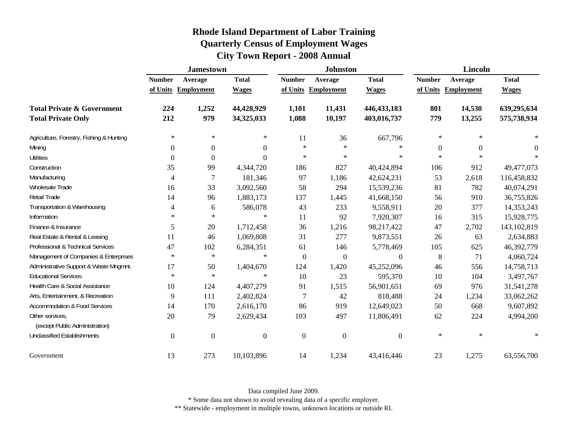|                                                                    |                           | <b>Jamestown</b>             |                              |                           | <b>Johnston</b>              |                              |                           | Lincoln               |                              |
|--------------------------------------------------------------------|---------------------------|------------------------------|------------------------------|---------------------------|------------------------------|------------------------------|---------------------------|-----------------------|------------------------------|
|                                                                    | <b>Number</b><br>of Units | Average<br><b>Employment</b> | <b>Total</b><br><b>Wages</b> | <b>Number</b><br>of Units | Average<br><b>Employment</b> | <b>Total</b><br><b>Wages</b> | <b>Number</b><br>of Units | Average<br>Employment | <b>Total</b><br><b>Wages</b> |
| <b>Total Private &amp; Government</b><br><b>Total Private Only</b> | 224<br>212                | 1,252<br>979                 | 44,428,929<br>34,325,033     | 1,101<br>1,088            | 11,431<br>10,197             | 446, 433, 183<br>403,016,737 | 801<br>779                | 14,530<br>13,255      | 639,295,634<br>575,738,934   |
| Agriculture, Forestry, Fishing & Hunting                           | $\ast$                    | ∗                            | $\ast$                       | 11                        | 36                           | 667,796                      | $\ast$                    | $\ast$                |                              |
| Mining                                                             | $\theta$                  | $\boldsymbol{0}$             | $\overline{0}$               | $\ast$                    | $\ast$                       | $\ast$                       | 0                         | $\boldsymbol{0}$      | $\boldsymbol{0}$             |
| <b>Utilities</b>                                                   | $\theta$                  | $\theta$                     | $\theta$                     | $\ast$                    | $\ast$                       | ∗                            | $\ast$                    | $\ast$                | $\ast$                       |
| Construction                                                       | 35                        | 99                           | 4,344,720                    | 186                       | 827                          | 40,424,894                   | 106                       | 912                   | 49,477,073                   |
| Manufacturing                                                      | 4                         | 7                            | 181,346                      | 97                        | 1,186                        | 42,624,231                   | 53                        | 2,618                 | 116,458,832                  |
| Wholesale Trade                                                    | 16                        | 33                           | 3,092,560                    | 58                        | 294                          | 15,539,236                   | 81                        | 782                   | 40,074,291                   |
| Retail Trade                                                       | 14                        | 96                           | 1,883,173                    | 137                       | 1,445                        | 41,668,150                   | 56                        | 910                   | 36,755,826                   |
| Transportation & Warehousing                                       | 4                         | 6                            | 586,078                      | 43                        | 233                          | 9,558,911                    | 20                        | 377                   | 14,353,243                   |
| Information                                                        | $\ast$                    | $\ast$                       | $\ast$                       | 11                        | 92                           | 7,920,307                    | 16                        | 315                   | 15,928,775                   |
| Finance & Insurance                                                | 5                         | 20                           | 1,712,458                    | 36                        | 1,216                        | 98,217,422                   | 47                        | 2,702                 | 143, 102, 819                |
| Real Estate & Rental & Leasing                                     | 11                        | 46                           | 1,069,808                    | 31                        | 277                          | 9,873,551                    | 26                        | 63                    | 2,634,883                    |
| Professional & Technical Services                                  | 47                        | 102                          | 6,284,351                    | 61                        | 146                          | 5,778,469                    | 105                       | 625                   | 46,392,779                   |
| Management of Companies & Enterprises                              | $\ast$                    | $\ast$                       | $\ast$                       | $\overline{0}$            | $\boldsymbol{0}$             | $\Omega$                     | 8                         | 71                    | 4,060,724                    |
| Administrative Support & Waste Mngmnt.                             | 17                        | 50                           | 1,404,670                    | 124                       | 1,420                        | 45,252,096                   | 46                        | 556                   | 14,758,713                   |
| <b>Educational Services</b>                                        | $\ast$                    | $\ast$                       | $\ast$                       | 10                        | 23                           | 595,370                      | 10                        | 104                   | 3,497,767                    |
| Health Care & Social Assistance                                    | 10                        | 124                          | 4,407,279                    | 91                        | 1,515                        | 56,901,651                   | 69                        | 976                   | 31,541,278                   |
| Arts, Entertainment, & Recreation                                  | 9                         | 111                          | 2,402,824                    | 7                         | 42                           | 818,488                      | 24                        | 1,234                 | 33,062,262                   |
| <b>Accommodation &amp; Food Services</b>                           | 14                        | 170                          | 2,616,170                    | 86                        | 919                          | 12,649,023                   | 50                        | 668                   | 9,607,892                    |
| Other services,<br>(except Public Administration)                  | 20                        | 79                           | 2,629,434                    | 103                       | 497                          | 11,806,491                   | 62                        | 224                   | 4,994,200                    |
| <b>Unclassified Establishments</b>                                 | $\overline{0}$            | $\boldsymbol{0}$             | $\boldsymbol{0}$             | $\boldsymbol{0}$          | $\boldsymbol{0}$             | $\boldsymbol{0}$             | $\ast$                    | $\ast$                | $\ast$                       |
| Government                                                         | 13                        | 273                          | 10,103,896                   | 14                        | 1,234                        | 43,416,446                   | 23                        | 1,275                 | 63,556,700                   |

Data compiled June 2009.

\* Some data not shown to avoid revealing data of a specific employer.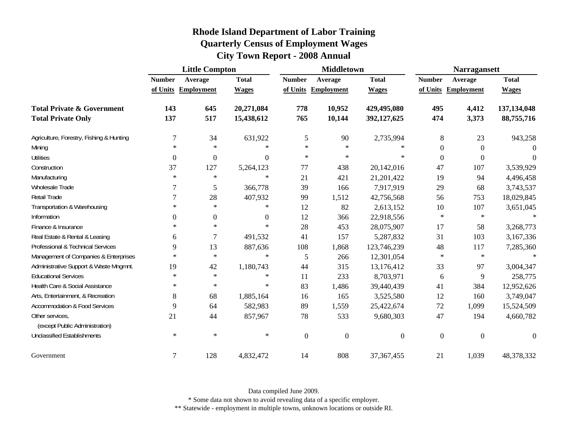|                                                   |                  | <b>Little Compton</b> |                  |                  | <b>Middletown</b> |                |               | <b>Narragansett</b> |              |  |
|---------------------------------------------------|------------------|-----------------------|------------------|------------------|-------------------|----------------|---------------|---------------------|--------------|--|
|                                                   | <b>Number</b>    | Average               | <b>Total</b>     | <b>Number</b>    | Average           | <b>Total</b>   | <b>Number</b> | Average             | <b>Total</b> |  |
|                                                   |                  | of Units Employment   | <b>Wages</b>     | of Units         | <b>Employment</b> | <b>Wages</b>   |               | of Units Employment | <b>Wages</b> |  |
| <b>Total Private &amp; Government</b>             | 143              | 645                   | 20,271,084       | 778              | 10,952            | 429,495,080    | 495           | 4,412               | 137,134,048  |  |
| <b>Total Private Only</b>                         | 137              | 517                   | 15,438,612       | 765              | 10,144            | 392,127,625    | 474           | 3,373               | 88,755,716   |  |
| Agriculture, Forestry, Fishing & Hunting          | $\tau$           | 34                    | 631,922          | 5                | 90                | 2,735,994      | 8             | 23                  | 943,258      |  |
| Mining                                            | $\ast$           | $\ast$                | $\ast$           | $\ast$           | $\ast$            | $\ast$         | $\mathbf{0}$  | $\overline{0}$      | $\Omega$     |  |
| <b>Utilities</b>                                  | $\boldsymbol{0}$ | $\boldsymbol{0}$      | $\boldsymbol{0}$ | $\ast$           | $\ast$            | $\ast$         | $\mathbf{0}$  | $\boldsymbol{0}$    | $\Omega$     |  |
| Construction                                      | 37               | 127                   | 5,264,123        | 77               | 438               | 20,142,016     | 47            | 107                 | 3,539,929    |  |
| Manufacturing                                     | $\ast$           | $\ast$                | $\ast$           | 21               | 421               | 21,201,422     | 19            | 94                  | 4,496,458    |  |
| Wholesale Trade                                   | $\tau$           | 5                     | 366,778          | 39               | 166               | 7,917,919      | 29            | 68                  | 3,743,537    |  |
| Retail Trade                                      | $\tau$           | 28                    | 407,932          | 99               | 1,512             | 42,756,568     | 56            | 753                 | 18,029,845   |  |
| Transportation & Warehousing                      | $\ast$           | $\ast$                | $\ast$           | 12               | 82                | 2,613,152      | 10            | 107                 | 3,651,045    |  |
| Information                                       | $\overline{0}$   | $\boldsymbol{0}$      | $\boldsymbol{0}$ | 12               | 366               | 22,918,556     | $\ast$        | $\ast$              | $\ast$       |  |
| Finance & Insurance                               | $\ast$           | $\ast$                | $\ast$           | 28               | 453               | 28,075,907     | 17            | 58                  | 3,268,773    |  |
| Real Estate & Rental & Leasing                    | 6                | $\tau$                | 491,532          | 41               | 157               | 5,287,832      | 31            | 103                 | 3,167,336    |  |
| Professional & Technical Services                 | 9                | 13                    | 887,636          | 108              | 1,868             | 123,746,239    | 48            | 117                 | 7,285,360    |  |
| Management of Companies & Enterprises             | $\ast$           | $\ast$                | $\ast$           | 5                | 266               | 12,301,054     | $\ast$        | $\ast$              | $\ast$       |  |
| Administrative Support & Waste Mngmnt.            | 19               | 42                    | 1,180,743        | 44               | 315               | 13,176,412     | 33            | 97                  | 3,004,347    |  |
| <b>Educational Services</b>                       | $\ast$           | $\ast$                | $\ast$           | 11               | 233               | 8,703,971      | 6             | 9                   | 258,775      |  |
| Health Care & Social Assistance                   | $\ast$           | $\ast$                | $\ast$           | 83               | 1,486             | 39,440,439     | 41            | 384                 | 12,952,626   |  |
| Arts, Entertainment, & Recreation                 | 8                | 68                    | 1,885,164        | 16               | 165               | 3,525,580      | 12            | 160                 | 3,749,047    |  |
| <b>Accommodation &amp; Food Services</b>          | 9                | 64                    | 582,983          | 89               | 1,559             | 25,422,674     | 72            | 1,099               | 15,524,509   |  |
| Other services,<br>(except Public Administration) | 21               | 44                    | 857,967          | 78               | 533               | 9,680,303      | 47            | 194                 | 4,660,782    |  |
| <b>Unclassified Establishments</b>                | $\ast$           | $\ast$                | $\ast$           | $\boldsymbol{0}$ | $\boldsymbol{0}$  | $\overline{0}$ | $\mathbf{0}$  | $\boldsymbol{0}$    | $\Omega$     |  |
| Government                                        | $\overline{7}$   | 128                   | 4,832,472        | 14               | 808               | 37, 367, 455   | 21            | 1,039               | 48,378,332   |  |

Data compiled June 2009.

\* Some data not shown to avoid revealing data of a specific employer.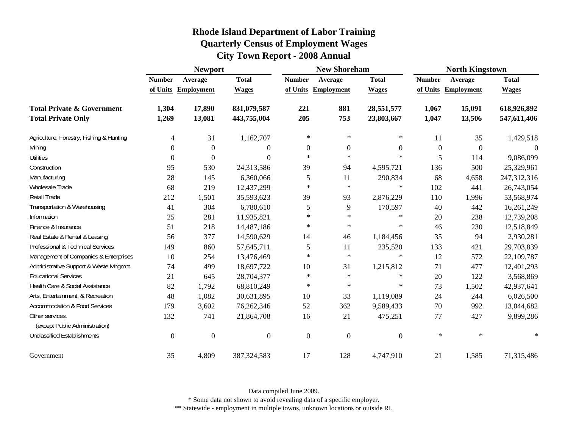|                                                   | <b>Newport</b>   |                     |                |                | <b>New Shoreham</b> |                  | <b>North Kingstown</b> |                     |              |  |
|---------------------------------------------------|------------------|---------------------|----------------|----------------|---------------------|------------------|------------------------|---------------------|--------------|--|
|                                                   | <b>Number</b>    | Average             | <b>Total</b>   | <b>Number</b>  | Average             | <b>Total</b>     | <b>Number</b>          | Average             | <b>Total</b> |  |
|                                                   |                  | of Units Employment | <b>Wages</b>   |                | of Units Employment | <b>Wages</b>     |                        | of Units Employment | <b>Wages</b> |  |
| <b>Total Private &amp; Government</b>             | 1,304            | 17,890              | 831,079,587    | 221            | 881                 | 28,551,577       | 1,067                  | 15,091              | 618,926,892  |  |
| <b>Total Private Only</b>                         | 1,269            | 13,081              | 443,755,004    | 205            | 753                 | 23,803,667       | 1,047                  | 13,506              | 547,611,406  |  |
| Agriculture, Forestry, Fishing & Hunting          | 4                | 31                  | 1,162,707      | $\ast$         | $\ast$              | $\ast$           | 11                     | 35                  | 1,429,518    |  |
| Mining                                            | $\theta$         | $\boldsymbol{0}$    | 0              | $\overline{0}$ | $\mathbf{0}$        | $\boldsymbol{0}$ | $\boldsymbol{0}$       | $\Omega$            | $\Omega$     |  |
| <b>Utilities</b>                                  | $\boldsymbol{0}$ | $\boldsymbol{0}$    | $\theta$       | $\ast$         | $\ast$              | $\ast$           | 5                      | 114                 | 9,086,099    |  |
| Construction                                      | 95               | 530                 | 24,313,586     | 39             | 94                  | 4,595,721        | 136                    | 500                 | 25,329,961   |  |
| Manufacturing                                     | 28               | 145                 | 6,360,066      | 5              | 11                  | 290,834          | 68                     | 4,658               | 247,312,316  |  |
| <b>Wholesale Trade</b>                            | 68               | 219                 | 12,437,299     | $\ast$         | $\ast$              | $\ast$           | 102                    | 441                 | 26,743,054   |  |
| Retail Trade                                      | 212              | 1,501               | 35,593,623     | 39             | 93                  | 2,876,229        | 110                    | 1,996               | 53,568,974   |  |
| Transportation & Warehousing                      | 41               | 304                 | 6,780,610      | 5              | 9                   | 170,597          | 40                     | 442                 | 16,261,249   |  |
| Information                                       | 25               | 281                 | 11,935,821     | $\ast$         | $\ast$              | $\ast$           | 20                     | 238                 | 12,739,208   |  |
| Finance & Insurance                               | 51               | 218                 | 14,487,186     | $\ast$         | $\ast$              | $\ast$           | 46                     | 230                 | 12,518,849   |  |
| Real Estate & Rental & Leasing                    | 56               | 377                 | 14,590,629     | 14             | 46                  | 1,184,456        | 35                     | 94                  | 2,930,281    |  |
| Professional & Technical Services                 | 149              | 860                 | 57,645,711     | 5              | 11                  | 235,520          | 133                    | 421                 | 29,703,839   |  |
| Management of Companies & Enterprises             | 10               | 254                 | 13,476,469     | $\star$        | $\ast$              | $\ast$           | 12                     | 572                 | 22,109,787   |  |
| Administrative Support & Waste Mngmnt.            | 74               | 499                 | 18,697,722     | 10             | 31                  | 1,215,812        | 71                     | 477                 | 12,401,293   |  |
| <b>Educational Services</b>                       | 21               | 645                 | 28,704,377     | $\ast$         | $\ast$              | $\ast$           | 20                     | 122                 | 3,568,869    |  |
| Health Care & Social Assistance                   | 82               | 1,792               | 68,810,249     | $\ast$         | $\ast$              | $\ast$           | 73                     | 1,502               | 42,937,641   |  |
| Arts, Entertainment, & Recreation                 | 48               | 1,082               | 30,631,895     | 10             | 33                  | 1,119,089        | 24                     | 244                 | 6,026,500    |  |
| <b>Accommodation &amp; Food Services</b>          | 179              | 3,602               | 76,262,346     | 52             | 362                 | 9,589,433        | 70                     | 992                 | 13,044,682   |  |
| Other services,<br>(except Public Administration) | 132              | 741                 | 21,864,708     | 16             | 21                  | 475,251          | 77                     | 427                 | 9,899,286    |  |
| <b>Unclassified Establishments</b>                |                  |                     |                |                |                     |                  | $\ast$                 | $\ast$              | $\ast$       |  |
|                                                   | $\overline{0}$   | $\mathbf{0}$        | $\overline{0}$ | $\mathbf{0}$   | $\boldsymbol{0}$    | $\overline{0}$   |                        |                     |              |  |
| Government                                        | 35               | 4,809               | 387, 324, 583  | 17             | 128                 | 4,747,910        | 21                     | 1,585               | 71,315,486   |  |

Data compiled June 2009.

\* Some data not shown to avoid revealing data of a specific employer.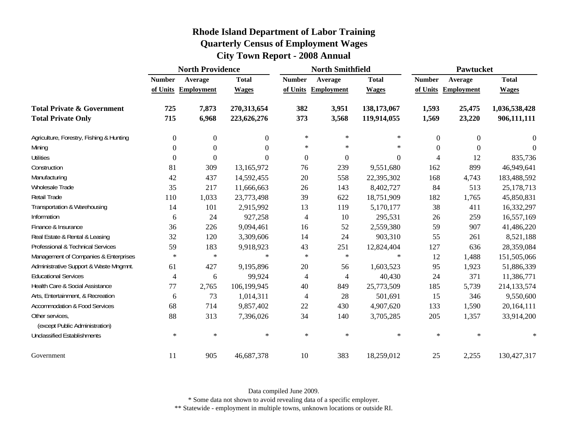|                                                   | <b>North Providence</b>  |                     |                | <b>North Smithfield</b>  |                     |                  | Pawtucket      |                     |               |
|---------------------------------------------------|--------------------------|---------------------|----------------|--------------------------|---------------------|------------------|----------------|---------------------|---------------|
|                                                   | <b>Number</b><br>Average |                     | <b>Total</b>   | <b>Number</b><br>Average |                     | <b>Total</b>     | <b>Number</b>  | Average             | <b>Total</b>  |
|                                                   |                          | of Units Employment | <b>Wages</b>   |                          | of Units Employment | <b>Wages</b>     |                | of Units Employment | <b>Wages</b>  |
| <b>Total Private &amp; Government</b>             | 725                      | 7,873               | 270,313,654    | 382                      | 3,951               | 138,173,067      | 1,593          | 25,475              | 1,036,538,428 |
| <b>Total Private Only</b>                         | 715                      | 6,968               | 223,626,276    | 373                      | 3,568               | 119,914,055      | 1,569          | 23,220              | 906,111,111   |
| Agriculture, Forestry, Fishing & Hunting          | $\boldsymbol{0}$         | $\boldsymbol{0}$    | $\overline{0}$ | $\ast$                   | ∗                   | $\ast$           | $\overline{0}$ | $\theta$            | 0             |
| Mining                                            | $\Omega$                 | $\overline{0}$      | $\Omega$       | $\ast$                   | $\ast$              | $\ast$           | $\Omega$       | $\Omega$            | $\theta$      |
| <b>Utilities</b>                                  | $\boldsymbol{0}$         | $\boldsymbol{0}$    | $\Omega$       | $\boldsymbol{0}$         | $\mathbf{0}$        | $\boldsymbol{0}$ | 4              | 12                  | 835,736       |
| Construction                                      | 81                       | 309                 | 13,165,972     | 76                       | 239                 | 9,551,680        | 162            | 899                 | 46,949,641    |
| Manufacturing                                     | 42                       | 437                 | 14,592,455     | 20                       | 558                 | 22,395,302       | 168            | 4,743               | 183,488,592   |
| Wholesale Trade                                   | 35                       | 217                 | 11,666,663     | 26                       | 143                 | 8,402,727        | 84             | 513                 | 25,178,713    |
| Retail Trade                                      | 110                      | 1,033               | 23,773,498     | 39                       | 622                 | 18,751,909       | 182            | 1,765               | 45,850,831    |
| Transportation & Warehousing                      | 14                       | 101                 | 2,915,992      | 13                       | 119                 | 5,170,177        | 38             | 411                 | 16,332,297    |
| Information                                       | 6                        | 24                  | 927,258        | $\overline{4}$           | 10                  | 295,531          | 26             | 259                 | 16,557,169    |
| Finance & Insurance                               | 36                       | 226                 | 9,094,461      | 16                       | 52                  | 2,559,380        | 59             | 907                 | 41,486,220    |
| Real Estate & Rental & Leasing                    | 32                       | 120                 | 3,309,606      | 14                       | 24                  | 903,310          | 55             | 261                 | 8,521,188     |
| Professional & Technical Services                 | 59                       | 183                 | 9,918,923      | 43                       | 251                 | 12,824,404       | 127            | 636                 | 28,359,084    |
| Management of Companies & Enterprises             | $\ast$                   | $\ast$              | $\ast$         | $\ast$                   | $\ast$              | $\ast$           | 12             | 1,488               | 151,505,066   |
| Administrative Support & Waste Mngmnt.            | 61                       | 427                 | 9,195,896      | 20                       | 56                  | 1,603,523        | 95             | 1,923               | 51,886,339    |
| <b>Educational Services</b>                       | 4                        | 6                   | 99,924         | $\overline{4}$           | 4                   | 40,430           | 24             | 371                 | 11,386,771    |
| Health Care & Social Assistance                   | 77                       | 2,765               | 106,199,945    | 40                       | 849                 | 25,773,509       | 185            | 5,739               | 214,133,574   |
| Arts, Entertainment, & Recreation                 | 6                        | 73                  | 1,014,311      | 4                        | 28                  | 501,691          | 15             | 346                 | 9,550,600     |
| <b>Accommodation &amp; Food Services</b>          | 68                       | 714                 | 9,857,402      | 22                       | 430                 | 4,907,620        | 133            | 1,590               | 20,164,111    |
| Other services,<br>(except Public Administration) | 88                       | 313                 | 7,396,026      | 34                       | 140                 | 3,705,285        | 205            | 1,357               | 33,914,200    |
| <b>Unclassified Establishments</b>                | $\ast$                   | $\ast$              | $\ast$         | $\ast$                   | $\ast$              | $\ast$           | $\ast$         | $\ast$              | $\ast$        |
| Government                                        | 11                       | 905                 | 46,687,378     | 10                       | 383                 | 18,259,012       | 25             | 2,255               | 130,427,317   |

Data compiled June 2009.

\* Some data not shown to avoid revealing data of a specific employer.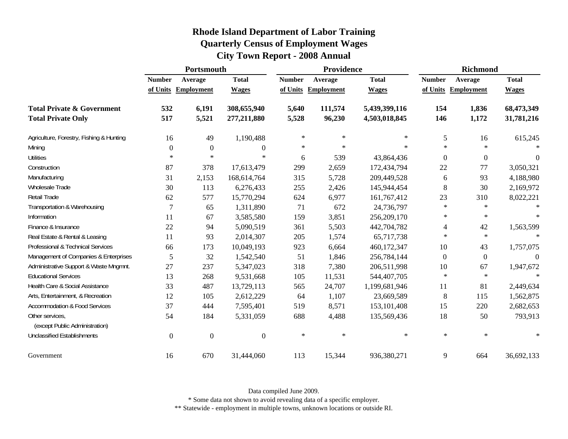| <b>Rhode Island Department of Labor Training</b> |  |
|--------------------------------------------------|--|
| <b>Quarterly Census of Employment Wages</b>      |  |
| <b>City Town Report - 2008 Annual</b>            |  |

|                                                   | Portsmouth    |                     |                  | Providence    |            |               | <b>Richmond</b> |                     |              |
|---------------------------------------------------|---------------|---------------------|------------------|---------------|------------|---------------|-----------------|---------------------|--------------|
|                                                   | <b>Number</b> | Average             | <b>Total</b>     | <b>Number</b> | Average    | <b>Total</b>  | <b>Number</b>   | Average             | <b>Total</b> |
|                                                   |               | of Units Employment | <b>Wages</b>     | of Units      | Employment | <b>Wages</b>  |                 | of Units Employment | <b>Wages</b> |
| <b>Total Private &amp; Government</b>             | 532           | 6,191               | 308,655,940      | 5,640         | 111,574    | 5,439,399,116 | 154             | 1,836               | 68,473,349   |
| <b>Total Private Only</b>                         | 517           | 5,521               | 277,211,880      | 5,528         | 96,230     | 4,503,018,845 | 146             | 1,172               | 31,781,216   |
| Agriculture, Forestry, Fishing & Hunting          | 16            | 49                  | 1,190,488        | $\ast$        | $\ast$     | $\ast$        | 5               | 16                  | 615,245      |
| Mining                                            | $\Omega$      | $\overline{0}$      | $\theta$         | $\ast$        | $\ast$     | $\ast$        | $\ast$          | $\ast$              |              |
| <b>Utilities</b>                                  | $\ast$        | $\ast$              | $\ast$           | 6             | 539        | 43,864,436    | $\theta$        | $\overline{0}$      | $\theta$     |
| Construction                                      | 87            | 378                 | 17,613,479       | 299           | 2,659      | 172,434,794   | 22              | 77                  | 3,050,321    |
| Manufacturing                                     | 31            | 2,153               | 168,614,764      | 315           | 5,728      | 209,449,528   | 6               | 93                  | 4,188,980    |
| Wholesale Trade                                   | 30            | 113                 | 6,276,433        | 255           | 2,426      | 145,944,454   | 8               | 30                  | 2,169,972    |
| Retail Trade                                      | 62            | 577                 | 15,770,294       | 624           | 6,977      | 161,767,412   | 23              | 310                 | 8,022,221    |
| Transportation & Warehousing                      | $\tau$        | 65                  | 1,311,890        | 71            | 672        | 24,736,797    | $\ast$          | $\ast$              |              |
| Information                                       | 11            | 67                  | 3,585,580        | 159           | 3,851      | 256,209,170   | $\ast$          | $\ast$              |              |
| Finance & Insurance                               | 22            | 94                  | 5,090,519        | 361           | 5,503      | 442,704,782   | 4               | 42                  | 1,563,599    |
| Real Estate & Rental & Leasing                    | 11            | 93                  | 2,014,307        | 205           | 1,574      | 65,717,738    | $\ast$          | $\ast$              |              |
| Professional & Technical Services                 | 66            | 173                 | 10,049,193       | 923           | 6,664      | 460,172,347   | 10              | 43                  | 1,757,075    |
| Management of Companies & Enterprises             | 5             | 32                  | 1,542,540        | 51            | 1,846      | 256,784,144   | $\Omega$        | $\boldsymbol{0}$    | $\theta$     |
| Administrative Support & Waste Mngmnt.            | 27            | 237                 | 5,347,023        | 318           | 7,380      | 206,511,998   | 10              | 67                  | 1,947,672    |
| <b>Educational Services</b>                       | 13            | 268                 | 9,531,668        | 105           | 11,531     | 544,407,705   | $\ast$          | $\ast$              |              |
| Health Care & Social Assistance                   | 33            | 487                 | 13,729,113       | 565           | 24,707     | 1,199,681,946 | 11              | 81                  | 2,449,634    |
| Arts, Entertainment, & Recreation                 | 12            | 105                 | 2,612,229        | 64            | 1,107      | 23,669,589    | 8               | 115                 | 1,562,875    |
| <b>Accommodation &amp; Food Services</b>          | 37            | 444                 | 7,595,401        | 519           | 8,571      | 153, 101, 408 | 15              | 220                 | 2,682,653    |
| Other services,<br>(except Public Administration) | 54            | 184                 | 5,331,059        | 688           | 4,488      | 135,569,436   | 18              | 50                  | 793,913      |
| <b>Unclassified Establishments</b>                | $\theta$      | $\boldsymbol{0}$    | $\boldsymbol{0}$ | $\ast$        | $\ast$     | $\ast$        | $\ast$          | $\ast$              |              |
| Government                                        | 16            | 670                 | 31,444,060       | 113           | 15,344     | 936,380,271   | 9               | 664                 | 36,692,133   |

\* Some data not shown to avoid revealing data of a specific employer.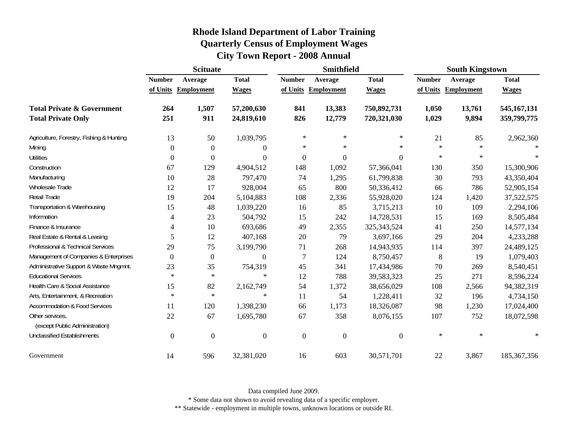|                                                   | <b>Scituate</b> |                     |                  |                  | <b>Smithfield</b>   |               | <b>South Kingstown</b> |                   |               |
|---------------------------------------------------|-----------------|---------------------|------------------|------------------|---------------------|---------------|------------------------|-------------------|---------------|
|                                                   | <b>Number</b>   | Average             | <b>Total</b>     | <b>Number</b>    | Average             | <b>Total</b>  | <b>Number</b>          | Average           | <b>Total</b>  |
|                                                   |                 | of Units Employment | <b>Wages</b>     |                  | of Units Employment | <b>Wages</b>  | of Units               | <b>Employment</b> | <b>Wages</b>  |
| <b>Total Private &amp; Government</b>             | 264             | 1,507               | 57,200,630       | 841              | 13,383              | 750,892,731   | 1,050                  | 13,761            | 545, 167, 131 |
| <b>Total Private Only</b>                         | 251             | 911                 | 24,819,610       | 826              | 12,779              | 720,321,030   | 1,029                  | 9,894             | 359,799,775   |
| Agriculture, Forestry, Fishing & Hunting          | 13              | 50                  | 1,039,795        | $\ast$           | $\ast$              | $\ast$        | 21                     | 85                | 2,962,360     |
| Mining                                            | $\Omega$        | $\overline{0}$      | $\theta$         | *                | $\ast$              | $\ast$        | $\ast$                 | $\ast$            |               |
| <b>Utilities</b>                                  | $\theta$        | 0                   | $\boldsymbol{0}$ | $\boldsymbol{0}$ | $\boldsymbol{0}$    | 0             | $\ast$                 | $\ast$            |               |
| Construction                                      | 67              | 129                 | 4,904,512        | 148              | 1,092               | 57,366,041    | 130                    | 350               | 15,300,906    |
| Manufacturing                                     | 10              | 28                  | 797,470          | 74               | 1,295               | 61,799,838    | 30                     | 793               | 43,350,404    |
| Wholesale Trade                                   | 12              | 17                  | 928,004          | 65               | 800                 | 50,336,412    | 66                     | 786               | 52,905,154    |
| Retail Trade                                      | 19              | 204                 | 5,104,883        | 108              | 2,336               | 55,928,020    | 124                    | 1,420             | 37,522,575    |
| Transportation & Warehousing                      | 15              | 48                  | 1,039,220        | 16               | 85                  | 3,715,213     | 10                     | 109               | 2,294,106     |
| Information                                       | 4               | 23                  | 504,792          | 15               | 242                 | 14,728,531    | 15                     | 169               | 8,505,484     |
| Finance & Insurance                               | 4               | 10                  | 693,686          | 49               | 2,355               | 325, 343, 524 | 41                     | 250               | 14,577,134    |
| Real Estate & Rental & Leasing                    | 5               | 12                  | 407,168          | 20               | 79                  | 3,697,166     | 29                     | 204               | 4,233,288     |
| Professional & Technical Services                 | 29              | 75                  | 3,199,790        | 71               | 268                 | 14,943,935    | 114                    | 397               | 24,489,125    |
| Management of Companies & Enterprises             | $\theta$        | $\boldsymbol{0}$    | $\overline{0}$   | $\overline{7}$   | 124                 | 8,750,457     | 8                      | 19                | 1,079,403     |
| Administrative Support & Waste Mngmnt.            | 23              | 35                  | 754,319          | 45               | 341                 | 17,434,986    | 70                     | 269               | 8,540,451     |
| <b>Educational Services</b>                       | $\ast$          | $\ast$              | $\ast$           | 12               | 788                 | 39,583,323    | 25                     | 271               | 8,596,224     |
| Health Care & Social Assistance                   | 15              | 82                  | 2,162,749        | 54               | 1,372               | 38,656,029    | 108                    | 2,566             | 94,382,319    |
| Arts, Entertainment, & Recreation                 | $\ast$          | $\ast$              | $\ast$           | 11               | 54                  | 1,228,411     | 32                     | 196               | 4,734,150     |
| <b>Accommodation &amp; Food Services</b>          | 11              | 120                 | 1,398,230        | 66               | 1,173               | 18,326,087    | 98                     | 1,230             | 17,024,400    |
| Other services,<br>(except Public Administration) | 22              | 67                  | 1,695,780        | 67               | 358                 | 8,076,155     | 107                    | 752               | 18,072,598    |
| <b>Unclassified Establishments</b>                | $\Omega$        | $\mathbf{0}$        | $\mathbf{0}$     | $\mathbf{0}$     | $\boldsymbol{0}$    | $\Omega$      | $\ast$                 | $\ast$            | $\ast$        |
| Government                                        | 14              | 596                 | 32,381,020       | 16               | 603                 | 30,571,701    | 22                     | 3,867             | 185, 367, 356 |

Data compiled June 2009.

\* Some data not shown to avoid revealing data of a specific employer.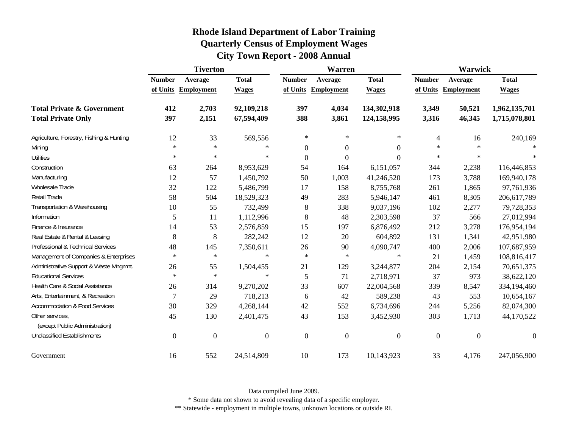|                                                   | <b>Tiverton</b> |                     |                  |                  | <b>Warren</b>       |                  | Warwick        |                     |                  |
|---------------------------------------------------|-----------------|---------------------|------------------|------------------|---------------------|------------------|----------------|---------------------|------------------|
|                                                   | <b>Number</b>   | Average             | <b>Total</b>     | <b>Number</b>    | Average             | <b>Total</b>     | <b>Number</b>  | Average             | <b>Total</b>     |
|                                                   |                 | of Units Employment | <b>Wages</b>     |                  | of Units Employment | <b>Wages</b>     |                | of Units Employment | <b>Wages</b>     |
| <b>Total Private &amp; Government</b>             | 412             | 2,703               | 92,109,218       | 397              | 4,034               | 134,302,918      | 3,349          | 50,521              | 1,962,135,701    |
| <b>Total Private Only</b>                         | 397             | 2,151               | 67,594,409       | 388              | 3,861               | 124,158,995      | 3,316          | 46,345              | 1,715,078,801    |
| Agriculture, Forestry, Fishing & Hunting          | 12              | 33                  | 569,556          | $\ast$           | $\ast$              | $\ast$           | $\overline{4}$ | 16                  | 240,169          |
| Mining                                            | $\ast$          | $\ast$              | $\ast$           | $\boldsymbol{0}$ | $\boldsymbol{0}$    | $\boldsymbol{0}$ | $\ast$         | $\ast$              |                  |
| <b>Utilities</b>                                  | $\ast$          | $\ast$              | $\ast$           | $\boldsymbol{0}$ | $\boldsymbol{0}$    | $\boldsymbol{0}$ | $\ast$         | $\ast$              |                  |
| Construction                                      | 63              | 264                 | 8,953,629        | 54               | 164                 | 6,151,057        | 344            | 2,238               | 116,446,853      |
| Manufacturing                                     | 12              | 57                  | 1,450,792        | 50               | 1,003               | 41,246,520       | 173            | 3,788               | 169,940,178      |
| Wholesale Trade                                   | 32              | 122                 | 5,486,799        | 17               | 158                 | 8,755,768        | 261            | 1,865               | 97,761,936       |
| Retail Trade                                      | 58              | 504                 | 18,529,323       | 49               | 283                 | 5,946,147        | 461            | 8,305               | 206,617,789      |
| Transportation & Warehousing                      | 10              | 55                  | 732,499          | 8                | 338                 | 9,037,196        | 102            | 2,277               | 79,728,353       |
| Information                                       | 5               | 11                  | 1,112,996        | 8                | 48                  | 2,303,598        | 37             | 566                 | 27,012,994       |
| Finance & Insurance                               | 14              | 53                  | 2,576,859        | 15               | 197                 | 6,876,492        | 212            | 3,278               | 176,954,194      |
| Real Estate & Rental & Leasing                    | 8               | 8                   | 282,242          | 12               | 20                  | 604,892          | 131            | 1,341               | 42,951,980       |
| Professional & Technical Services                 | 48              | 145                 | 7,350,611        | 26               | 90                  | 4,090,747        | 400            | 2,006               | 107,687,959      |
| Management of Companies & Enterprises             | $\ast$          | $\ast$              | $\ast$           | $\ast$           | $\ast$              | $\ast$           | 21             | 1,459               | 108,816,417      |
| Administrative Support & Waste Mngmnt.            | 26              | 55                  | 1,504,455        | 21               | 129                 | 3,244,877        | 204            | 2,154               | 70,651,375       |
| <b>Educational Services</b>                       | $\ast$          | $\ast$              | $\ast$           | 5                | 71                  | 2,718,971        | 37             | 973                 | 38,622,120       |
| Health Care & Social Assistance                   | 26              | 314                 | 9,270,202        | 33               | 607                 | 22,004,568       | 339            | 8,547               | 334,194,460      |
| Arts, Entertainment, & Recreation                 | $\overline{7}$  | 29                  | 718,213          | 6                | 42                  | 589,238          | 43             | 553                 | 10,654,167       |
| Accommodation & Food Services                     | 30              | 329                 | 4,268,144        | 42               | 552                 | 6,734,696        | 244            | 5,256               | 82,074,300       |
| Other services,<br>(except Public Administration) | 45              | 130                 | 2,401,475        | 43               | 153                 | 3,452,930        | 303            | 1,713               | 44,170,522       |
| <b>Unclassified Establishments</b>                | $\mathbf{0}$    | $\mathbf{0}$        | $\boldsymbol{0}$ | $\boldsymbol{0}$ | $\boldsymbol{0}$    | $\boldsymbol{0}$ | $\mathbf{0}$   | $\overline{0}$      | $\boldsymbol{0}$ |
| Government                                        | 16              | 552                 | 24,514,809       | 10               | 173                 | 10,143,923       | 33             | 4,176               | 247,056,900      |

Data compiled June 2009.

\* Some data not shown to avoid revealing data of a specific employer.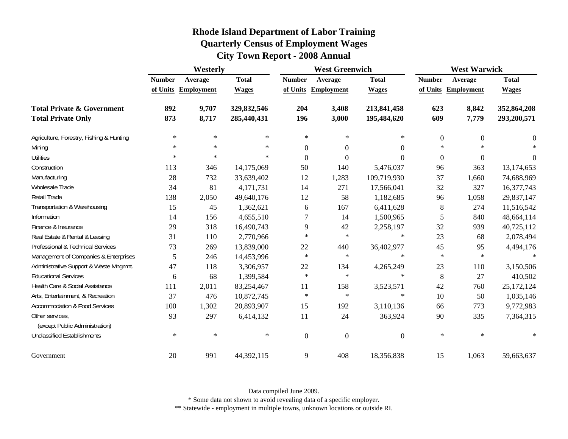|                                                   | Westerly      |                     |              | <b>West Greenwich</b> |                     |              | <b>West Warwick</b> |                     |                  |
|---------------------------------------------------|---------------|---------------------|--------------|-----------------------|---------------------|--------------|---------------------|---------------------|------------------|
|                                                   | <b>Number</b> | Average             | <b>Total</b> | <b>Number</b>         | Average             | <b>Total</b> | <b>Number</b>       | Average             | <b>Total</b>     |
|                                                   |               | of Units Employment | <b>Wages</b> |                       | of Units Employment | <b>Wages</b> |                     | of Units Employment | <b>Wages</b>     |
| <b>Total Private &amp; Government</b>             | 892           | 9,707               | 329,832,546  | 204                   | 3,408               | 213,841,458  | 623                 | 8,842               | 352,864,208      |
| <b>Total Private Only</b>                         | 873           | 8,717               | 285,440,431  | 196                   | 3,000               | 195,484,620  | 609                 | 7,779               | 293,200,571      |
| Agriculture, Forestry, Fishing & Hunting          | $\ast$        | $\ast$              | $\ast$       | $\ast$                | ∗                   | $\ast$       | $\boldsymbol{0}$    | $\overline{0}$      | 0                |
| Mining                                            | $\ast$        | $\ast$              | $\ast$       | $\boldsymbol{0}$      | $\mathbf{0}$        | $\Omega$     | $\ast$              | $\ast$              | $\ast$           |
| <b>Utilities</b>                                  | $\ast$        | $\ast$              | $\ast$       | $\boldsymbol{0}$      | $\theta$            | $\Omega$     | $\boldsymbol{0}$    | $\overline{0}$      | $\boldsymbol{0}$ |
| Construction                                      | 113           | 346                 | 14,175,069   | 50                    | 140                 | 5,476,037    | 96                  | 363                 | 13,174,653       |
| Manufacturing                                     | 28            | 732                 | 33,639,402   | 12                    | 1,283               | 109,719,930  | 37                  | 1,660               | 74,688,969       |
| Wholesale Trade                                   | 34            | 81                  | 4,171,731    | 14                    | 271                 | 17,566,041   | 32                  | 327                 | 16,377,743       |
| Retail Trade                                      | 138           | 2,050               | 49,640,176   | 12                    | 58                  | 1,182,685    | 96                  | 1,058               | 29,837,147       |
| Transportation & Warehousing                      | 15            | 45                  | 1,362,621    | 6                     | 167                 | 6,411,628    | 8                   | 274                 | 11,516,542       |
| Information                                       | 14            | 156                 | 4,655,510    | $\overline{7}$        | 14                  | 1,500,965    | 5                   | 840                 | 48,664,114       |
| Finance & Insurance                               | 29            | 318                 | 16,490,743   | 9                     | 42                  | 2,258,197    | 32                  | 939                 | 40,725,112       |
| Real Estate & Rental & Leasing                    | 31            | 110                 | 2,770,966    | $\ast$                | $\ast$              | $\ast$       | 23                  | 68                  | 2,078,494        |
| Professional & Technical Services                 | 73            | 269                 | 13,839,000   | 22                    | 440                 | 36,402,977   | 45                  | 95                  | 4,494,176        |
| Management of Companies & Enterprises             | 5             | 246                 | 14,453,996   | $\ast$                | $\ast$              | $\ast$       | $\ast$              | $\ast$              | $\ast$           |
| Administrative Support & Waste Mngmnt.            | 47            | 118                 | 3,306,957    | 22                    | 134                 | 4,265,249    | 23                  | 110                 | 3,150,506        |
| <b>Educational Services</b>                       | 6             | 68                  | 1,399,584    | $\ast$                | $\ast$              | $\ast$       | 8                   | 27                  | 410,502          |
| Health Care & Social Assistance                   | 111           | 2,011               | 83,254,467   | 11                    | 158                 | 3,523,571    | 42                  | 760                 | 25,172,124       |
| Arts, Entertainment, & Recreation                 | 37            | 476                 | 10,872,745   | $\ast$                | $\ast$              | ∗            | 10                  | 50                  | 1,035,146        |
| <b>Accommodation &amp; Food Services</b>          | 100           | 1,302               | 20,893,907   | 15                    | 192                 | 3,110,136    | 66                  | 773                 | 9,772,983        |
| Other services,<br>(except Public Administration) | 93            | 297                 | 6,414,132    | 11                    | 24                  | 363,924      | 90                  | 335                 | 7,364,315        |
| <b>Unclassified Establishments</b>                | $\ast$        | $\ast$              | $\ast$       | $\mathbf{0}$          | $\overline{0}$      | $\theta$     | $\ast$              | $\ast$              | $\ast$           |
| Government                                        | 20            | 991                 | 44,392,115   | 9                     | 408                 | 18,356,838   | 15                  | 1,063               | 59,663,637       |

Data compiled June 2009.

\* Some data not shown to avoid revealing data of a specific employer.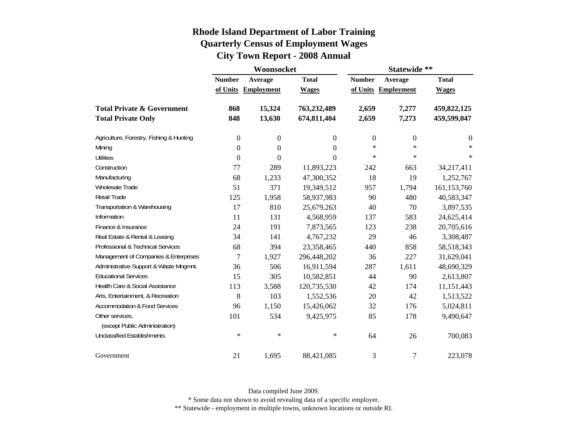|                                          |                  | Woonsocket          |                  | Statewide **     |                     |                  |  |  |
|------------------------------------------|------------------|---------------------|------------------|------------------|---------------------|------------------|--|--|
|                                          | <b>Number</b>    | Average             | <b>Total</b>     | <b>Number</b>    | Average             | <b>Total</b>     |  |  |
|                                          |                  | of Units Employment | <b>Wages</b>     |                  | of Units Employment | <b>Wages</b>     |  |  |
| <b>Total Private &amp; Government</b>    | 868              | 15,324              | 763,232,489      | 2,659            | 7,277               | 459,822,125      |  |  |
| <b>Total Private Only</b>                | 848              | 13,630              | 674,811,404      | 2,659            | 7,273               | 459,599,047      |  |  |
| Agriculture, Forestry, Fishing & Hunting | $\boldsymbol{0}$ | $\boldsymbol{0}$    | $\boldsymbol{0}$ | $\boldsymbol{0}$ | $\boldsymbol{0}$    | $\boldsymbol{0}$ |  |  |
| Mining                                   | $\boldsymbol{0}$ | $\boldsymbol{0}$    | $\boldsymbol{0}$ | $\star$          | $\ast$              | $\ast$           |  |  |
| <b>Utilities</b>                         | $\boldsymbol{0}$ | $\boldsymbol{0}$    | $\theta$         | $\star$          | $\star$             | $\ast$           |  |  |
| Construction                             | 77               | 289                 | 11,893,223       | 242              | 663                 | 34,217,411       |  |  |
| Manufacturing                            | 68               | 1,233               | 47,300,352       | 18               | 19                  | 1,252,767        |  |  |
| Wholesale Trade                          | 51               | 371                 | 19,349,512       | 957              | 1,794               | 161,153,760      |  |  |
| Retail Trade                             | 125              | 1,958               | 58,937,983       | 90               | 480                 | 40,583,347       |  |  |
| Transportation & Warehousing             | 17               | 810                 | 25,679,263       | 40               | 70                  | 3,897,535        |  |  |
| Information                              | 11               | 131                 | 4,568,959        | 137              | 583                 | 24,625,414       |  |  |
| Finance & Insurance                      | 24               | 191                 | 7,873,565        | 123              | 238                 | 20,705,616       |  |  |
| Real Estate & Rental & Leasing           | 34               | 141                 | 4,767,232        | 29               | 46                  | 3,308,487        |  |  |
| Professional & Technical Services        | 68               | 394                 | 23,358,465       | 440              | 858                 | 58,518,343       |  |  |
| Management of Companies & Enterprises    | $\tau$           | 1,927               | 296,448,202      | 36               | 227                 | 31,629,041       |  |  |
| Administrative Support & Waste Mngmnt.   | 36               | 506                 | 16,911,594       | 287              | 1,611               | 48,690,329       |  |  |
| <b>Educational Services</b>              | 15               | 305                 | 10,582,851       | 44               | 90                  | 2,613,807        |  |  |
| Health Care & Social Assistance          | 113              | 3,588               | 120,735,530      | 42               | 174                 | 11,151,443       |  |  |
| Arts, Entertainment, & Recreation        | 8                | 103                 | 1,552,536        | 20               | 42                  | 1,513,522        |  |  |
| <b>Accommodation &amp; Food Services</b> | 96               | 1,150               | 15,426,062       | 32               | 176                 | 5,024,811        |  |  |
| Other services,                          | 101              | 534                 | 9,425,975        | 85               | 178                 | 9,490,647        |  |  |
| (except Public Administration)           |                  |                     |                  |                  |                     |                  |  |  |
| <b>Unclassified Establishments</b>       | $\ast$           | $\ast$              | $\ast$           | 64               | 26                  | 700,083          |  |  |
| Government                               | 21               | 1,695               | 88,421,085       | 3                | $\tau$              | 223,078          |  |  |

Data compiled June 2009.

\* Some data not shown to avoid revealing data of a specific employer.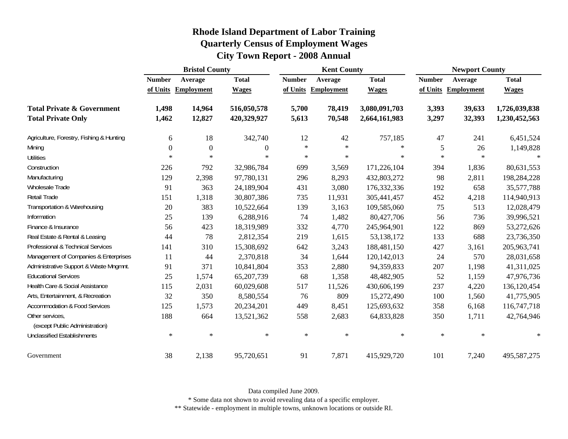| <b>Rhode Island Department of Labor Training</b> |
|--------------------------------------------------|
| <b>Quarterly Census of Employment Wages</b>      |
| <b>City Town Report - 2008 Annual</b>            |

|                                                   |                | <b>Bristol County</b> |              | <b>Kent County</b> |                   |               | <b>Newport County</b> |                   |               |
|---------------------------------------------------|----------------|-----------------------|--------------|--------------------|-------------------|---------------|-----------------------|-------------------|---------------|
|                                                   | <b>Number</b>  | Average               | <b>Total</b> | <b>Number</b>      | Average           | <b>Total</b>  | <b>Number</b>         | Average           | <b>Total</b>  |
|                                                   | of Units       | <b>Employment</b>     | <b>Wages</b> | of Units           | <b>Employment</b> | <b>Wages</b>  | of Units              | <b>Employment</b> | <b>Wages</b>  |
| <b>Total Private &amp; Government</b>             | 1,498          | 14,964                | 516,050,578  | 5,700              | 78,419            | 3,080,091,703 | 3,393                 | 39,633            | 1,726,039,838 |
| <b>Total Private Only</b>                         | 1,462          | 12,827                | 420,329,927  | 5,613              | 70,548            | 2,664,161,983 | 3,297                 | 32,393            | 1,230,452,563 |
| Agriculture, Forestry, Fishing & Hunting          | 6              | 18                    | 342,740      | 12                 | 42                | 757,185       | 47                    | 241               | 6,451,524     |
| Mining                                            | $\overline{0}$ | $\boldsymbol{0}$      | $\theta$     | $\ast$             | $\ast$            | $\ast$        | 5                     | 26                | 1,149,828     |
| Utilities                                         | $\ast$         | $\ast$                | $\ast$       | $\ast$             | $\ast$            | $\ast$        | $\ast$                | $\ast$            |               |
| Construction                                      | 226            | 792                   | 32,986,784   | 699                | 3,569             | 171,226,104   | 394                   | 1,836             | 80,631,553    |
| Manufacturing                                     | 129            | 2,398                 | 97,780,131   | 296                | 8,293             | 432,803,272   | 98                    | 2,811             | 198,284,228   |
| Wholesale Trade                                   | 91             | 363                   | 24,189,904   | 431                | 3,080             | 176, 332, 336 | 192                   | 658               | 35,577,788    |
| Retail Trade                                      | 151            | 1,318                 | 30,807,386   | 735                | 11,931            | 305,441,457   | 452                   | 4,218             | 114,940,913   |
| Transportation & Warehousing                      | 20             | 383                   | 10,522,664   | 139                | 3,163             | 109,585,060   | 75                    | 513               | 12,028,479    |
| Information                                       | 25             | 139                   | 6,288,916    | 74                 | 1,482             | 80,427,706    | 56                    | 736               | 39,996,521    |
| Finance & Insurance                               | 56             | 423                   | 18,319,989   | 332                | 4,770             | 245,964,901   | 122                   | 869               | 53,272,626    |
| Real Estate & Rental & Leasing                    | 44             | 78                    | 2,812,354    | 219                | 1,615             | 53,138,172    | 133                   | 688               | 23,736,350    |
| Professional & Technical Services                 | 141            | 310                   | 15,308,692   | 642                | 3,243             | 188,481,150   | 427                   | 3,161             | 205,963,741   |
| Management of Companies & Enterprises             | 11             | 44                    | 2,370,818    | 34                 | 1,644             | 120,142,013   | 24                    | 570               | 28,031,658    |
| Administrative Support & Waste Mngmnt.            | 91             | 371                   | 10,841,804   | 353                | 2,880             | 94,359,833    | 207                   | 1,198             | 41,311,025    |
| <b>Educational Services</b>                       | 25             | 1,574                 | 65,207,739   | 68                 | 1,358             | 48,482,905    | 52                    | 1,159             | 47,976,736    |
| Health Care & Social Assistance                   | 115            | 2,031                 | 60,029,608   | 517                | 11,526            | 430,606,199   | 237                   | 4,220             | 136,120,454   |
| Arts, Entertainment, & Recreation                 | 32             | 350                   | 8,580,554    | 76                 | 809               | 15,272,490    | 100                   | 1,560             | 41,775,905    |
| <b>Accommodation &amp; Food Services</b>          | 125            | 1,573                 | 20,234,201   | 449                | 8,451             | 125,693,632   | 358                   | 6,168             | 116,747,718   |
| Other services,<br>(except Public Administration) | 188            | 664                   | 13,521,362   | 558                | 2,683             | 64,833,828    | 350                   | 1,711             | 42,764,946    |
| <b>Unclassified Establishments</b>                | $\ast$         | $\ast$                | $\ast$       | $\ast$             | $\ast$            | $\ast$        | $\ast$                | $\ast$            | $\ast$        |
| Government                                        | 38             | 2,138                 | 95,720,651   | 91                 | 7,871             | 415,929,720   | 101                   | 7,240             | 495,587,275   |

\* Some data not shown to avoid revealing data of a specific employer.